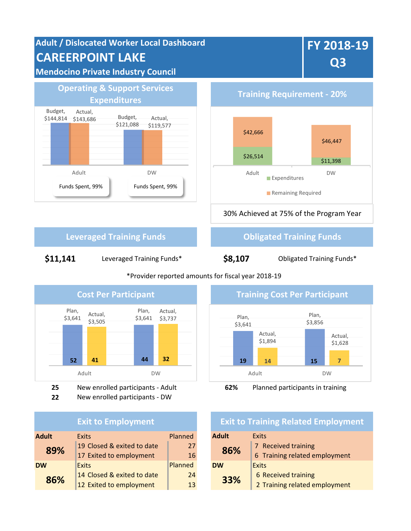**Adult / Dislocated Worker Local Dashboard CAREERPOINT LAKE Mendocino Private Industry Council**

# **FY 2018-19 Q3**



**Expenditures Training Requirement - 20%** 30% Achieved at 75% of the Program Year \$42,666 \$46,447 \$26,514 \$11.398 Adult DW Expenditures Remaining Required

**Leveraged Training Funds Construction Construction Construction Construction Construction Construction Construction Construction Construction Construction Construction Construction Construction Construction Construction** 

\$11,141 Leveraged Training Funds\* **\$8,107** Obligated Training Funds\*

Plan, \$3,641 Plan, \$3,641 **52 41 44 32** Actual, \$3,505 Actual, \$3,737 Adult DW

**25** New enrolled participants - Adult **62%** Planned participants in training

**22** New enrolled participants - DW

#### **Exit to Employment**

| <b>Adult</b> | <b>Exits</b>               | Planned                 | <b>Adult</b> | <b>Exits</b>         |
|--------------|----------------------------|-------------------------|--------------|----------------------|
|              | 19 Closed & exited to date | 27                      |              | 7 Received training  |
|              |                            | 16                      |              | 6 Training related e |
| <b>DW</b>    | <b>Exits</b>               | Planned                 | <b>DW</b>    | Exits                |
|              | 14 Closed & exited to date | 24                      |              | 6 Received training  |
|              | 12 Exited to employment    | 13                      |              | 2 Training related e |
|              | 89%<br>86%                 | 17 Exited to employment |              | 86%<br>33%           |

#### \*Provider reported amounts for fiscal year 2018-19



#### **Exit to Training Related Employment**

| <b>Exits</b>                     | Planned |     | <b>Adult</b> | Exits                         |  |
|----------------------------------|---------|-----|--------------|-------------------------------|--|
| 19 Closed & exited to date<br>27 |         | 86% |              | 7 Received training           |  |
| 17 Exited to employment          | 16      |     |              | 6 Training related employment |  |
| <b>Exits</b>                     | Planned |     | <b>DW</b>    | Exits                         |  |
| 14 Closed & exited to date       | 24      |     | 33%          | 6 Received training           |  |
| 12 Exited to employment          | 13      |     |              | 2 Training related employment |  |
|                                  |         |     |              |                               |  |